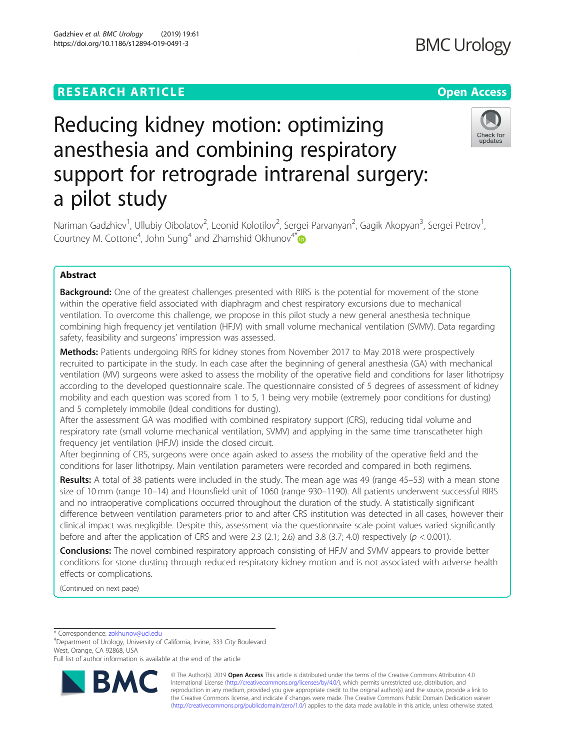# **RESEARCH ARTICLE Example 2014 12:30 The Contract of Contract ACCESS**

# Reducing kidney motion: optimizing anesthesia and combining respiratory support for retrograde intrarenal surgery: a pilot study

Nariman Gadzhiev<sup>1</sup>, Ullubiy Oibolatov<sup>2</sup>, Leonid Kolotilov<sup>2</sup>, Sergei Parvanyan<sup>2</sup>, Gagik Akopyan<sup>3</sup>, Sergei Petrov<sup>1</sup> , Courtney M. Cottone<sup>4</sup>, John Sung<sup>4</sup> and Zhamshid Okhunov<sup>4\*</sup>

## Abstract

**Background:** One of the greatest challenges presented with RIRS is the potential for movement of the stone within the operative field associated with diaphragm and chest respiratory excursions due to mechanical ventilation. To overcome this challenge, we propose in this pilot study a new general anesthesia technique combining high frequency jet ventilation (HFJV) with small volume mechanical ventilation (SVMV). Data regarding safety, feasibility and surgeons' impression was assessed.

Methods: Patients undergoing RIRS for kidney stones from November 2017 to May 2018 were prospectively recruited to participate in the study. In each case after the beginning of general anesthesia (GA) with mechanical ventilation (MV) surgeons were asked to assess the mobility of the operative field and conditions for laser lithotripsy according to the developed questionnaire scale. The questionnaire consisted of 5 degrees of assessment of kidney mobility and each question was scored from 1 to 5, 1 being very mobile (extremely poor conditions for dusting) and 5 completely immobile (Ideal conditions for dusting).

After the assessment GA was modified with combined respiratory support (CRS), reducing tidal volume and respiratory rate (small volume mechanical ventilation, SVMV) and applying in the same time transcatheter high frequency jet ventilation (HFJV) inside the closed circuit.

After beginning of CRS, surgeons were once again asked to assess the mobility of the operative field and the conditions for laser lithotripsy. Main ventilation parameters were recorded and compared in both regimens.

Results: A total of 38 patients were included in the study. The mean age was 49 (range 45–53) with a mean stone size of 10 mm (range 10–14) and Hounsfield unit of 1060 (range 930–1190). All patients underwent successful RIRS and no intraoperative complications occurred throughout the duration of the study. A statistically significant difference between ventilation parameters prior to and after CRS institution was detected in all cases, however their clinical impact was negligible. Despite this, assessment via the questionnaire scale point values varied significantly before and after the application of CRS and were 2.3 (2.1; 2.6) and 3.8 (3.7; 4.0) respectively ( $p < 0.001$ ).

**Conclusions:** The novel combined respiratory approach consisting of HFJV and SVMV appears to provide better conditions for stone dusting through reduced respiratory kidney motion and is not associated with adverse health effects or complications.

(Continued on next page)

\* Correspondence: [zokhunov@uci.edu](mailto:zokhunov@uci.edu) <sup>4</sup>

RA

Department of Urology, University of California, Irvine, 333 City Boulevard West, Orange, CA 92868, USA

© The Author(s). 2019 **Open Access** This article is distributed under the terms of the Creative Commons Attribution 4.0 International License [\(http://creativecommons.org/licenses/by/4.0/](http://creativecommons.org/licenses/by/4.0/)), which permits unrestricted use, distribution, and reproduction in any medium, provided you give appropriate credit to the original author(s) and the source, provide a link to the Creative Commons license, and indicate if changes were made. The Creative Commons Public Domain Dedication waiver [\(http://creativecommons.org/publicdomain/zero/1.0/](http://creativecommons.org/publicdomain/zero/1.0/)) applies to the data made available in this article, unless otherwise stated.





Full list of author information is available at the end of the article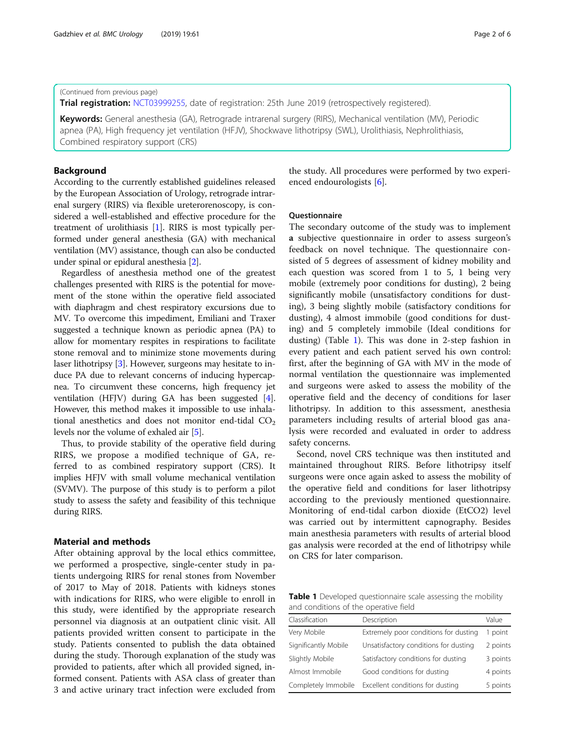#### (Continued from previous page)

Trial registration: [NCT03999255](https://bit.ly/2KW41Wc), date of registration: 25th June 2019 (retrospectively registered).

Keywords: General anesthesia (GA), Retrograde intrarenal surgery (RIRS), Mechanical ventilation (MV), Periodic apnea (PA), High frequency jet ventilation (HFJV), Shockwave lithotripsy (SWL), Urolithiasis, Nephrolithiasis, Combined respiratory support (CRS)

### Background

According to the currently established guidelines released by the European Association of Urology, retrograde intrarenal surgery (RIRS) via flexible ureterorenoscopy, is considered a well-established and effective procedure for the treatment of urolithiasis [[1](#page-5-0)]. RIRS is most typically performed under general anesthesia (GA) with mechanical ventilation (MV) assistance, though can also be conducted under spinal or epidural anesthesia [[2\]](#page-5-0).

Regardless of anesthesia method one of the greatest challenges presented with RIRS is the potential for movement of the stone within the operative field associated with diaphragm and chest respiratory excursions due to MV. To overcome this impediment, Emiliani and Traxer suggested a technique known as periodic apnea (PA) to allow for momentary respites in respirations to facilitate stone removal and to minimize stone movements during laser lithotripsy [\[3](#page-5-0)]. However, surgeons may hesitate to induce PA due to relevant concerns of inducing hypercapnea. To circumvent these concerns, high frequency jet ventilation (HFJV) during GA has been suggested [[4](#page-5-0)]. However, this method makes it impossible to use inhalational anesthetics and does not monitor end-tidal  $CO<sub>2</sub>$ levels nor the volume of exhaled air [[5\]](#page-5-0).

Thus, to provide stability of the operative field during RIRS, we propose a modified technique of GA, referred to as combined respiratory support (CRS). It implies HFJV with small volume mechanical ventilation (SVMV). The purpose of this study is to perform a pilot study to assess the safety and feasibility of this technique during RIRS.

#### Material and methods

After obtaining approval by the local ethics committee, we performed a prospective, single-center study in patients undergoing RIRS for renal stones from November of 2017 to May of 2018. Patients with kidneys stones with indications for RIRS, who were eligible to enroll in this study, were identified by the appropriate research personnel via diagnosis at an outpatient clinic visit. All patients provided written consent to participate in the study. Patients consented to publish the data obtained during the study. Thorough explanation of the study was provided to patients, after which all provided signed, informed consent. Patients with ASA class of greater than 3 and active urinary tract infection were excluded from the study. All procedures were performed by two experienced endourologists [[6\]](#page-5-0).

#### **Ouestionnaire**

The secondary outcome of the study was to implement a subjective questionnaire in order to assess surgeon's feedback on novel technique. The questionnaire consisted of 5 degrees of assessment of kidney mobility and each question was scored from 1 to 5, 1 being very mobile (extremely poor conditions for dusting), 2 being significantly mobile (unsatisfactory conditions for dusting), 3 being slightly mobile (satisfactory conditions for dusting), 4 almost immobile (good conditions for dusting) and 5 completely immobile (Ideal conditions for dusting) (Table 1). This was done in 2-step fashion in every patient and each patient served his own control: first, after the beginning of GA with MV in the mode of normal ventilation the questionnaire was implemented and surgeons were asked to assess the mobility of the operative field and the decency of conditions for laser lithotripsy. In addition to this assessment, anesthesia parameters including results of arterial blood gas analysis were recorded and evaluated in order to address safety concerns.

Second, novel CRS technique was then instituted and maintained throughout RIRS. Before lithotripsy itself surgeons were once again asked to assess the mobility of the operative field and conditions for laser lithotripsy according to the previously mentioned questionnaire. Monitoring of end-tidal carbon dioxide (EtCO2) level was carried out by intermittent capnography. Besides main anesthesia parameters with results of arterial blood gas analysis were recorded at the end of lithotripsy while on CRS for later comparison.

Table 1 Developed questionnaire scale assessing the mobility and conditions of the operative field

| Classification       | Description                           | Value    |  |
|----------------------|---------------------------------------|----------|--|
| Very Mobile          | Extremely poor conditions for dusting | 1 point  |  |
| Significantly Mobile | Unsatisfactory conditions for dusting | 2 points |  |
| Slightly Mobile      | Satisfactory conditions for dusting   | 3 points |  |
| Almost Immobile      | Good conditions for dusting           | 4 points |  |
| Completely Immobile  | Excellent conditions for dusting      | 5 points |  |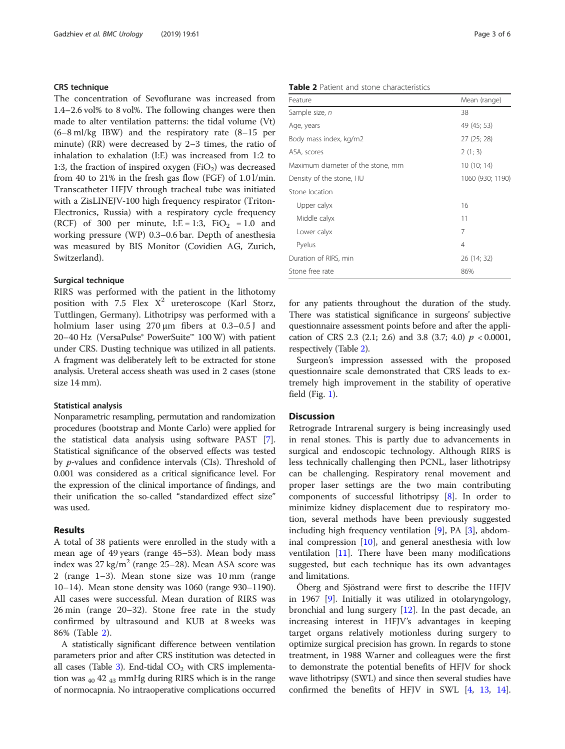#### CRS technique

The concentration of Sevoflurane was increased from 1.4–2.6 vol% to 8 vol%. The following changes were then made to alter ventilation patterns: the tidal volume (Vt) (6–8 ml/kg IBW) and the respiratory rate (8–15 per minute) (RR) were decreased by 2–3 times, the ratio of inhalation to exhalation (I:E) was increased from 1:2 to 1:3, the fraction of inspired oxygen  $(FiO<sub>2</sub>)$  was decreased from 40 to 21% in the fresh gas flow (FGF) of 1.0 l/min. Transcatheter HFJV through tracheal tube was initiated with a ZisLINEJV-100 high frequency respirator (Triton-Electronics, Russia) with a respiratory cycle frequency (RCF) of 300 per minute,  $I: E = 1:3$ ,  $FiO<sub>2</sub> = 1.0$  and working pressure (WP) 0.3–0.6 bar. Depth of anesthesia was measured by BIS Monitor (Covidien AG, Zurich, Switzerland).

#### Surgical technique

RIRS was performed with the patient in the lithotomy position with 7.5 Flex  $X^2$  ureteroscope (Karl Storz, Tuttlingen, Germany). Lithotripsy was performed with a holmium laser using 270 μm fibers at 0.3–0.5 J and 20–40 Hz (VersaPulse® PowerSuite™ 100 W) with patient under CRS. Dusting technique was utilized in all patients. A fragment was deliberately left to be extracted for stone analysis. Ureteral access sheath was used in 2 cases (stone size 14 mm).

#### Statistical analysis

Nonparametric resampling, permutation and randomization procedures (bootstrap and Monte Carlo) were applied for the statistical data analysis using software PAST [[7](#page-5-0)]. Statistical significance of the observed effects was tested by p-values and confidence intervals (CIs). Threshold of 0.001 was considered as a critical significance level. For the expression of the clinical importance of findings, and their unification the so-called "standardized effect size" was used.

#### Results

A total of 38 patients were enrolled in the study with a mean age of 49 years (range 45–53). Mean body mass index was  $27 \text{ kg/m}^2$  (range  $25-28$ ). Mean ASA score was 2 (range 1–3). Mean stone size was 10 mm (range 10–14). Mean stone density was 1060 (range 930–1190). All cases were successful. Mean duration of RIRS was 26 min (range 20–32). Stone free rate in the study confirmed by ultrasound and KUB at 8 weeks was 86% (Table 2).

A statistically significant difference between ventilation parameters prior and after CRS institution was detected in all cases (Table [3\)](#page-3-0). End-tidal  $CO<sub>2</sub>$  with CRS implementation was  $_{40}$  42  $_{43}$  mmHg during RIRS which is in the range of normocapnia. No intraoperative complications occurred

#### Table 2 Patient and stone characteristics

| Feature                           | Mean (range)     |
|-----------------------------------|------------------|
| Sample size, n                    | 38               |
| Age, years                        | 49 (45; 53)      |
| Body mass index, kg/m2            | 27 (25; 28)      |
| ASA, scores                       | 2(1; 3)          |
| Maximum diameter of the stone, mm | 10(10; 14)       |
| Density of the stone, HU          | 1060 (930; 1190) |
| Stone location                    |                  |
| Upper calyx                       | 16               |
| Middle calyx                      | 11               |
| Lower calyx                       | 7                |
| Pyelus                            | $\overline{4}$   |
| Duration of RIRS, min             | 26 (14; 32)      |
| Stone free rate                   | 86%              |

for any patients throughout the duration of the study. There was statistical significance in surgeons' subjective questionnaire assessment points before and after the application of CRS 2.3 (2.1; 2.6) and 3.8 (3.7; 4.0)  $p < 0.0001$ , respectively (Table 2).

Surgeon's impression assessed with the proposed questionnaire scale demonstrated that CRS leads to extremely high improvement in the stability of operative field (Fig. [1\)](#page-3-0).

#### **Discussion**

Retrograde Intrarenal surgery is being increasingly used in renal stones. This is partly due to advancements in surgical and endoscopic technology. Although RIRS is less technically challenging then PCNL, laser lithotripsy can be challenging. Respiratory renal movement and proper laser settings are the two main contributing components of successful lithotripsy [[8\]](#page-5-0). In order to minimize kidney displacement due to respiratory motion, several methods have been previously suggested including high frequency ventilation [\[9\]](#page-5-0), PA [\[3](#page-5-0)], abdominal compression [\[10\]](#page-5-0), and general anesthesia with low ventilation [[11](#page-5-0)]. There have been many modifications suggested, but each technique has its own advantages and limitations.

Öberg and Sjöstrand were first to describe the HFJV in 1967 [[9\]](#page-5-0). Initially it was utilized in otolaryngology, bronchial and lung surgery [\[12](#page-5-0)]. In the past decade, an increasing interest in HFJV's advantages in keeping target organs relatively motionless during surgery to optimize surgical precision has grown. In regards to stone treatment, in 1988 Warner and colleagues were the first to demonstrate the potential benefits of HFJV for shock wave lithotripsy (SWL) and since then several studies have confirmed the benefits of HFJV in SWL [\[4,](#page-5-0) [13,](#page-5-0) [14](#page-5-0)].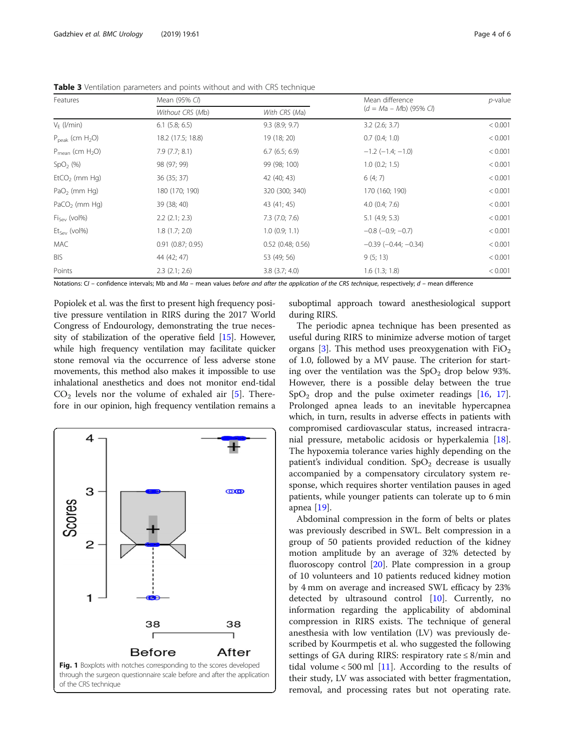| Features                       | Mean (95% CI)         |                     | Mean difference            | $p$ -value |
|--------------------------------|-----------------------|---------------------|----------------------------|------------|
|                                | Without CRS (Mb)      | With CRS (Ma)       | $(d = Ma - Mb)$ (95% CI)   |            |
| $V_F$ ( <i>l/min</i> )         | $6.1$ (5.8; 6.5)      | $9.3$ $(8.9; 9.7)$  | $3.2$ (2.6; 3.7)           | < 0.001    |
| $P_{\text{peak}}$ (cm $H_2O$ ) | 18.2 (17.5; 18.8)     | 19 (18; 20)         | $0.7$ $(0.4; 1.0)$         | < 0.001    |
| $P_{mean}$ (cm $H_2O$ )        | 7.9(7.7; 8.1)         | 6.7(6.5; 6.9)       | $-1.2$ ( $-1.4$ ; $-1.0$ ) | < 0.001    |
| SpO <sub>2</sub> (%)           | 98 (97; 99)           | 99 (98; 100)        | $1.0$ (0.2; 1.5)           | < 0.001    |
| $EtCO2$ (mm Hg)                | 36 (35; 37)           | 42 (40; 43)         | 6(4; 7)                    | < 0.001    |
| $PaO2$ (mm Hq)                 | 180 (170; 190)        | 320 (300; 340)      | 170 (160; 190)             | < 0.001    |
| $PaCO2$ (mm Hq)                | 39 (38; 40)           | 43 (41; 45)         | $4.0$ (0.4; 7.6)           | < 0.001    |
| $Fi_{Sev}$ (vol%)              | $2.2$ $(2.1; 2.3)$    | $7.3$ $(7.0; 7.6)$  | $5.1$ (4.9; 5.3)           | < 0.001    |
| $Et_{Sev}$ (vol%)              | 1.8(1.7; 2.0)         | $1.0$ (0.9; 1.1)    | $-0.8$ ( $-0.9; -0.7$ )    | < 0.001    |
| <b>MAC</b>                     | $0.91$ $(0.87; 0.95)$ | $0.52$ (0.48; 0.56) | $-0.39$ $(-0.44; -0.34)$   | < 0.001    |
| <b>BIS</b>                     | 44 (42; 47)           | 53 (49; 56)         | 9(5; 13)                   | < 0.001    |
| Points                         | $2.3$ $(2.1; 2.6)$    | $3.8$ $(3.7; 4.0)$  | 1.6(1.3; 1.8)              | < 0.001    |

<span id="page-3-0"></span>**Table 3** Ventilation parameters and points without and with CRS technique

Notations:  $CI$  – confidence intervals; Mb and Ma – mean values before and after the application of the CRS technique, respectively;  $d$  – mean difference

Popiolek et al. was the first to present high frequency positive pressure ventilation in RIRS during the 2017 World Congress of Endourology, demonstrating the true necessity of stabilization of the operative field [\[15\]](#page-5-0). However, while high frequency ventilation may facilitate quicker stone removal via the occurrence of less adverse stone movements, this method also makes it impossible to use inhalational anesthetics and does not monitor end-tidal  $CO<sub>2</sub>$  levels nor the volume of exhaled air [\[5](#page-5-0)]. Therefore in our opinion, high frequency ventilation remains a



suboptimal approach toward anesthesiological support during RIRS.

The periodic apnea technique has been presented as useful during RIRS to minimize adverse motion of target organs [[3\]](#page-5-0). This method uses preoxygenation with  $FiO<sub>2</sub>$ of 1.0, followed by a MV pause. The criterion for starting over the ventilation was the  $SpO<sub>2</sub>$  drop below 93%. However, there is a possible delay between the true  $SpO<sub>2</sub>$  drop and the pulse oximeter readings [\[16,](#page-5-0) [17](#page-5-0)]. Prolonged apnea leads to an inevitable hypercapnea which, in turn, results in adverse effects in patients with compromised cardiovascular status, increased intracranial pressure, metabolic acidosis or hyperkalemia [\[18](#page-5-0)]. The hypoxemia tolerance varies highly depending on the patient's individual condition.  $SpO<sub>2</sub>$  decrease is usually accompanied by a compensatory circulatory system response, which requires shorter ventilation pauses in aged patients, while younger patients can tolerate up to 6 min apnea [[19](#page-5-0)].

Abdominal compression in the form of belts or plates was previously described in SWL. Belt compression in a group of 50 patients provided reduction of the kidney motion amplitude by an average of 32% detected by fluoroscopy control [[20](#page-5-0)]. Plate compression in a group of 10 volunteers and 10 patients reduced kidney motion by 4 mm on average and increased SWL efficacy by 23% detected by ultrasound control [\[10\]](#page-5-0). Currently, no information regarding the applicability of abdominal compression in RIRS exists. The technique of general anesthesia with low ventilation (LV) was previously described by Kourmpetis et al. who suggested the following settings of GA during RIRS: respiratory rate ≤ 8/min and tidal volume  $< 500$  ml [[11\]](#page-5-0). According to the results of their study, LV was associated with better fragmentation, removal, and processing rates but not operating rate.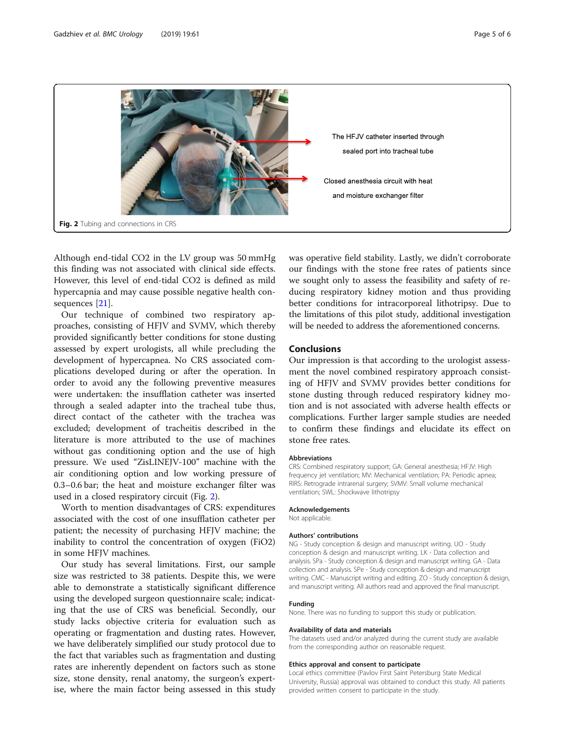<span id="page-4-0"></span>

Although end-tidal CO2 in the LV group was 50 mmHg this finding was not associated with clinical side effects. However, this level of end-tidal CO2 is defined as mild hypercapnia and may cause possible negative health consequences [[21\]](#page-5-0).

Our technique of combined two respiratory approaches, consisting of HFJV and SVMV, which thereby provided significantly better conditions for stone dusting assessed by expert urologists, all while precluding the development of hypercapnea. No CRS associated complications developed during or after the operation. In order to avoid any the following preventive measures were undertaken: the insufflation catheter was inserted through a sealed adapter into the tracheal tube thus, direct contact of the catheter with the trachea was excluded; development of tracheitis described in the literature is more attributed to the use of machines without gas conditioning option and the use of high pressure. We used "ZisLINEJV-100" machine with the air conditioning option and low working pressure of 0.3–0.6 bar; the heat and moisture exchanger filter was used in a closed respiratory circuit (Fig. 2).

Worth to mention disadvantages of CRS: expenditures associated with the cost of one insufflation catheter per patient; the necessity of purchasing HFJV machine; the inability to control the concentration of oxygen (FiO2) in some HFJV machines.

Our study has several limitations. First, our sample size was restricted to 38 patients. Despite this, we were able to demonstrate a statistically significant difference using the developed surgeon questionnaire scale; indicating that the use of CRS was beneficial. Secondly, our study lacks objective criteria for evaluation such as operating or fragmentation and dusting rates. However, we have deliberately simplified our study protocol due to the fact that variables such as fragmentation and dusting rates are inherently dependent on factors such as stone size, stone density, renal anatomy, the surgeon's expertise, where the main factor being assessed in this study was operative field stability. Lastly, we didn't corroborate our findings with the stone free rates of patients since we sought only to assess the feasibility and safety of reducing respiratory kidney motion and thus providing better conditions for intracorporeal lithotripsy. Due to the limitations of this pilot study, additional investigation will be needed to address the aforementioned concerns.

#### Conclusions

Our impression is that according to the urologist assessment the novel combined respiratory approach consisting of HFJV and SVMV provides better conditions for stone dusting through reduced respiratory kidney motion and is not associated with adverse health effects or complications. Further larger sample studies are needed to confirm these findings and elucidate its effect on stone free rates.

#### Abbreviations

CRS: Combined respiratory support; GA: General anesthesia; HFJV: High frequency jet ventilation; MV: Mechanical ventilation; PA: Periodic apnea; RIRS: Retrograde intrarenal surgery; SVMV: Small volume mechanical ventilation; SWL: Shockwave lithotripsy

#### Acknowledgements

Not applicable.

#### Authors' contributions

NG - Study conception & design and manuscript writing. UO - Study conception & design and manuscript writing. LK - Data collection and analysis. SPa - Study conception & design and manuscript writing. GA - Data collection and analysis. SPe - Study conception & design and manuscript writing. CMC - Manuscript writing and editing. ZO - Study conception & design, and manuscript writing. All authors read and approved the final manuscript.

#### Funding

None. There was no funding to support this study or publication.

#### Availability of data and materials

The datasets used and/or analyzed during the current study are available from the corresponding author on reasonable request.

#### Ethics approval and consent to participate

Local ethics committee (Pavlov First Saint Petersburg State Medical University, Russia) approval was obtained to conduct this study. All patients provided written consent to participate in the study.